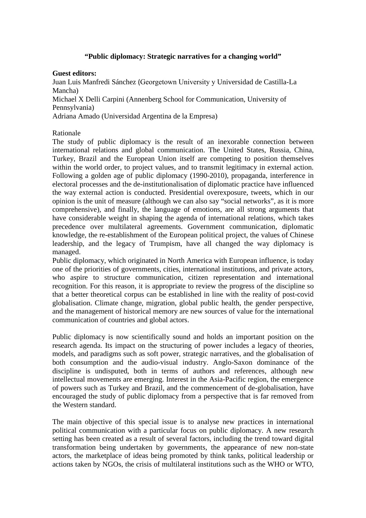# **"Public diplomacy: Strategic narratives for a changing world"**

### **Guest editors:**

Juan Luis Manfredi Sánchez (Georgetown University y Universidad de Castilla-La Mancha)

Michael X Delli Carpini (Annenberg School for Communication, University of Pennsylvania)

Adriana Amado (Universidad Argentina de la Empresa)

# Rationale

The study of public diplomacy is the result of an inexorable connection between international relations and global communication. The United States, Russia, China, Turkey, Brazil and the European Union itself are competing to position themselves within the world order, to project values, and to transmit legitimacy in external action. Following a golden age of public diplomacy (1990-2010), propaganda, interference in electoral processes and the de-institutionalisation of diplomatic practice have influenced the way external action is conducted. Presidential overexposure, tweets, which in our opinion is the unit of measure (although we can also say "social networks", as it is more comprehensive), and finally, the language of emotions, are all strong arguments that have considerable weight in shaping the agenda of international relations, which takes precedence over multilateral agreements. Government communication, diplomatic knowledge, the re-establishment of the European political project, the values of Chinese leadership, and the legacy of Trumpism, have all changed the way diplomacy is managed.

Public diplomacy, which originated in North America with European influence, is today one of the priorities of governments, cities, international institutions, and private actors, who aspire to structure communication, citizen representation and international recognition. For this reason, it is appropriate to review the progress of the discipline so that a better theoretical corpus can be established in line with the reality of post-covid globalisation. Climate change, migration, global public health, the gender perspective, and the management of historical memory are new sources of value for the international communication of countries and global actors.

Public diplomacy is now scientifically sound and holds an important position on the research agenda. Its impact on the structuring of power includes a legacy of theories, models, and paradigms such as soft power, strategic narratives, and the globalisation of both consumption and the audio-visual industry. Anglo-Saxon dominance of the discipline is undisputed, both in terms of authors and references, although new intellectual movements are emerging. Interest in the Asia-Pacific region, the emergence of powers such as Turkey and Brazil, and the commencement of de-globalisation, have encouraged the study of public diplomacy from a perspective that is far removed from the Western standard.

The main objective of this special issue is to analyse new practices in international political communication with a particular focus on public diplomacy. A new research setting has been created as a result of several factors, including the trend toward digital transformation being undertaken by governments, the appearance of new non-state actors, the marketplace of ideas being promoted by think tanks, political leadership or actions taken by NGOs, the crisis of multilateral institutions such as the WHO or WTO,